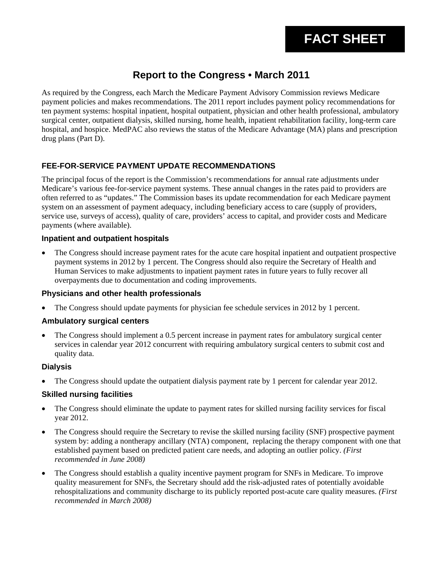# **Report to the Congress • March 2011**

As required by the Congress, each March the Medicare Payment Advisory Commission reviews Medicare payment policies and makes recommendations. The 2011 report includes payment policy recommendations for ten payment systems: hospital inpatient, hospital outpatient, physician and other health professional, ambulatory surgical center, outpatient dialysis, skilled nursing, home health, inpatient rehabilitation facility, long-term care hospital, and hospice. MedPAC also reviews the status of the Medicare Advantage (MA) plans and prescription drug plans (Part D).

# **FEE-FOR-SERVICE PAYMENT UPDATE RECOMMENDATIONS**

The principal focus of the report is the Commission's recommendations for annual rate adjustments under Medicare's various fee-for-service payment systems. These annual changes in the rates paid to providers are often referred to as "updates." The Commission bases its update recommendation for each Medicare payment system on an assessment of payment adequacy, including beneficiary access to care (supply of providers, service use, surveys of access), quality of care, providers' access to capital, and provider costs and Medicare payments (where available).

#### **Inpatient and outpatient hospitals**

• The Congress should increase payment rates for the acute care hospital inpatient and outpatient prospective payment systems in 2012 by 1 percent. The Congress should also require the Secretary of Health and Human Services to make adjustments to inpatient payment rates in future years to fully recover all overpayments due to documentation and coding improvements.

#### **Physicians and other health professionals**

• The Congress should update payments for physician fee schedule services in 2012 by 1 percent.

#### **Ambulatory surgical centers**

• The Congress should implement a 0.5 percent increase in payment rates for ambulatory surgical center services in calendar year 2012 concurrent with requiring ambulatory surgical centers to submit cost and quality data.

#### **Dialysis**

• The Congress should update the outpatient dialysis payment rate by 1 percent for calendar year 2012.

## **Skilled nursing facilities**

- The Congress should eliminate the update to payment rates for skilled nursing facility services for fiscal year 2012.
- The Congress should require the Secretary to revise the skilled nursing facility (SNF) prospective payment system by: adding a nontherapy ancillary (NTA) component, replacing the therapy component with one that established payment based on predicted patient care needs, and adopting an outlier policy. *(First recommended in June 2008)*
- The Congress should establish a quality incentive payment program for SNFs in Medicare. To improve quality measurement for SNFs, the Secretary should add the risk-adjusted rates of potentially avoidable rehospitalizations and community discharge to its publicly reported post-acute care quality measures. *(First recommended in March 2008)*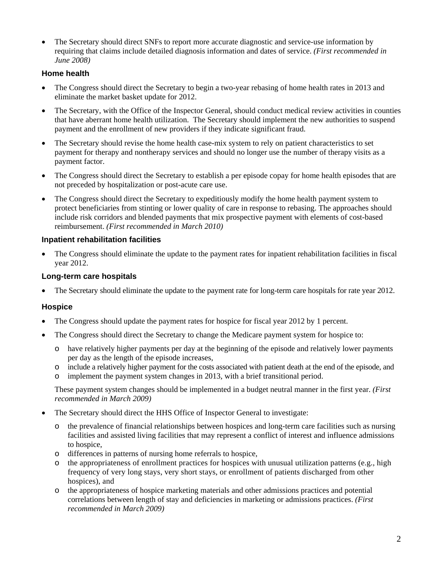• The Secretary should direct SNFs to report more accurate diagnostic and service-use information by requiring that claims include detailed diagnosis information and dates of service. *(First recommended in June 2008)*

# **Home health**

- The Congress should direct the Secretary to begin a two-year rebasing of home health rates in 2013 and eliminate the market basket update for 2012.
- The Secretary, with the Office of the Inspector General, should conduct medical review activities in counties that have aberrant home health utilization. The Secretary should implement the new authorities to suspend payment and the enrollment of new providers if they indicate significant fraud.
- The Secretary should revise the home health case-mix system to rely on patient characteristics to set payment for therapy and nontherapy services and should no longer use the number of therapy visits as a payment factor.
- The Congress should direct the Secretary to establish a per episode copay for home health episodes that are not preceded by hospitalization or post-acute care use.
- The Congress should direct the Secretary to expeditiously modify the home health payment system to protect beneficiaries from stinting or lower quality of care in response to rebasing. The approaches should include risk corridors and blended payments that mix prospective payment with elements of cost-based reimbursement. *(First recommended in March 2010)*

## **Inpatient rehabilitation facilities**

• The Congress should eliminate the update to the payment rates for inpatient rehabilitation facilities in fiscal year 2012.

## **Long-term care hospitals**

• The Secretary should eliminate the update to the payment rate for long-term care hospitals for rate year 2012.

## **Hospice**

- The Congress should update the payment rates for hospice for fiscal year 2012 by 1 percent.
- The Congress should direct the Secretary to change the Medicare payment system for hospice to:
	- o have relatively higher payments per day at the beginning of the episode and relatively lower payments per day as the length of the episode increases,
	- o include a relatively higher payment for the costs associated with patient death at the end of the episode, and
	- o implement the payment system changes in 2013, with a brief transitional period.

These payment system changes should be implemented in a budget neutral manner in the first year. *(First recommended in March 2009)*

- The Secretary should direct the HHS Office of Inspector General to investigate:
	- o the prevalence of financial relationships between hospices and long-term care facilities such as nursing facilities and assisted living facilities that may represent a conflict of interest and influence admissions to hospice,
	- o differences in patterns of nursing home referrals to hospice,
	- $\circ$  the appropriateness of enrollment practices for hospices with unusual utilization patterns (e.g., high frequency of very long stays, very short stays, or enrollment of patients discharged from other hospices), and
	- o the appropriateness of hospice marketing materials and other admissions practices and potential correlations between length of stay and deficiencies in marketing or admissions practices. *(First recommended in March 2009)*